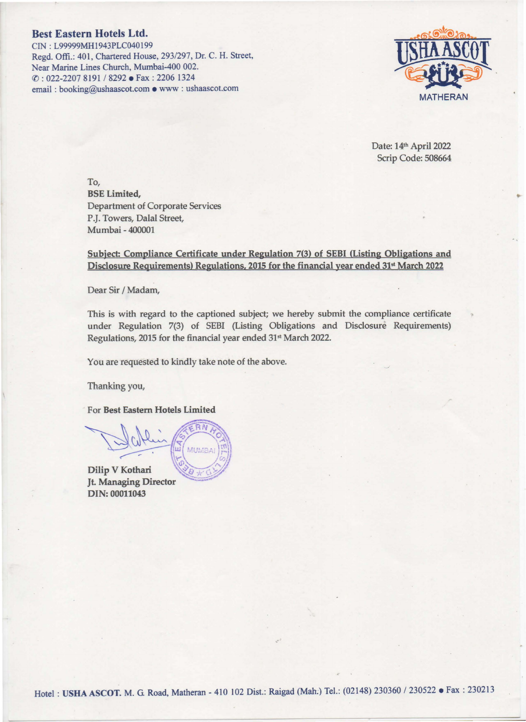## Best Eastern Hotels Ltd.

CIN: L99999MH1943PLC040199 Regd. Offi.: 401, Chartered House, 2931297, Dr. C. H. Street, Near Marine Lines Church, Mumbai-400 002. ((): 022-2207 8191 I 8292 • Fax: 2206 1324 email : booking@ushaascot.com • www : ushaascot.com



Date: 14th April 2022 Scrip Code: 508664

To, BSE Limited, Department of Corporate Services P.J. Towers, Dalal Street, Mumbai - 400001

## Subject: Compliance Certificate under Regulation 7(3) of SEBI (Listing Obligations and Disclosure Requirements) Regulations, 2015 for the financial year ended 31<sup>st</sup> March 2022

Dear Sir / Madam,

This is with regard to the captioned subject; we hereby submit the compliance certificate under Regulation 7(3) of SEBI (Listing Obligations and Disclosure Requirements) Regulations, 2015 for the financial year ended 31<sup>st</sup> March 2022.

You are requested to kindly take note of the above.

Thanking *you,* 

For Best Eastern Hotels Limited

 $\mu_{\text{min}}$   $\beta$   $\mu_{\text{min}}$  $\omega$ Dilip V Kothari

Jt. Managing Director DIN: 00011043

 $e^{\mu T}$